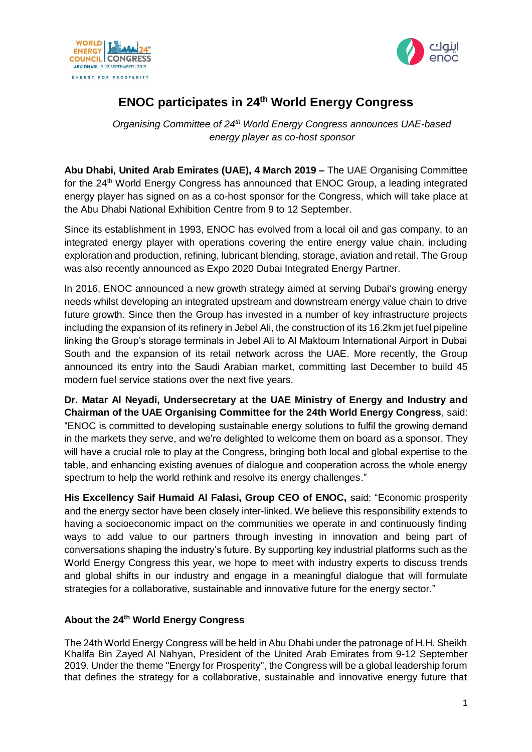



# **ENOC participates in 24th World Energy Congress**

*Organising Committee of 24th World Energy Congress announces UAE-based energy player as co-host sponsor*

**Abu Dhabi, United Arab Emirates (UAE), 4 March 2019 –** The UAE Organising Committee for the 24<sup>th</sup> World Energy Congress has announced that ENOC Group, a leading integrated energy player has signed on as a co-host sponsor for the Congress, which will take place at the Abu Dhabi National Exhibition Centre from 9 to 12 September.

Since its establishment in 1993, ENOC has evolved from a local oil and gas company, to an integrated energy player with operations covering the entire energy value chain, including exploration and production, refining, lubricant blending, storage, aviation and retail. The Group was also recently announced as Expo 2020 Dubai Integrated Energy Partner.

In 2016, ENOC announced a new growth strategy aimed at serving Dubai's growing energy needs whilst developing an integrated upstream and downstream energy value chain to drive future growth. Since then the Group has invested in a number of key infrastructure projects including the expansion of its refinery in Jebel Ali, the construction of its 16.2km jet fuel pipeline linking the Group's storage terminals in Jebel Ali to Al Maktoum International Airport in Dubai South and the expansion of its retail network across the UAE. More recently, the Group announced its entry into the Saudi Arabian market, committing last December to build 45 modern fuel service stations over the next five years.

**Dr. Matar Al Neyadi, Undersecretary at the UAE Ministry of Energy and Industry and Chairman of the UAE Organising Committee for the 24th World Energy Congress**, said: "ENOC is committed to developing sustainable energy solutions to fulfil the growing demand in the markets they serve, and we're delighted to welcome them on board as a sponsor. They will have a crucial role to play at the Congress, bringing both local and global expertise to the table, and enhancing existing avenues of dialogue and cooperation across the whole energy spectrum to help the world rethink and resolve its energy challenges."

**His Excellency Saif Humaid Al Falasi, Group CEO of ENOC,** said: "Economic prosperity and the energy sector have been closely inter-linked. We believe this responsibility extends to having a socioeconomic impact on the communities we operate in and continuously finding ways to add value to our partners through investing in innovation and being part of conversations shaping the industry's future. By supporting key industrial platforms such as the World Energy Congress this year, we hope to meet with industry experts to discuss trends and global shifts in our industry and engage in a meaningful dialogue that will formulate strategies for a collaborative, sustainable and innovative future for the energy sector."

# **About the 24th World Energy Congress**

The 24th World Energy Congress will be held in Abu Dhabi under the patronage of H.H. Sheikh Khalifa Bin Zayed Al Nahyan, President of the United Arab Emirates from 9-12 September 2019. Under the theme "Energy for Prosperity", the Congress will be a global leadership forum that defines the strategy for a collaborative, sustainable and innovative energy future that